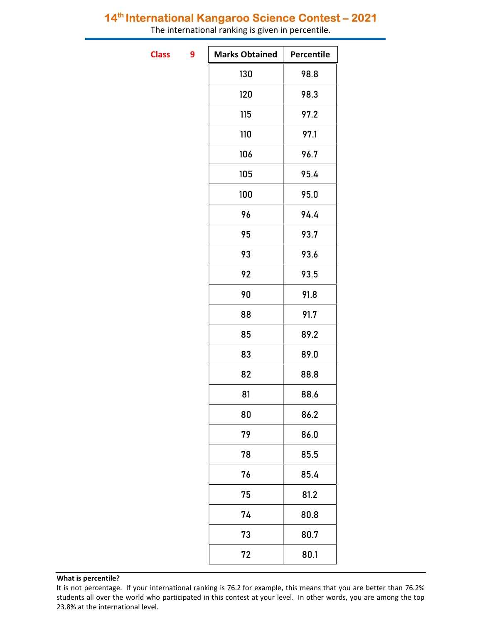## 14<sup>th</sup> International Kangaroo Science Contest - 2021

The international ranking is given in percentile.

**Class** 

| <b>Marks Obtained</b> | Percentile |
|-----------------------|------------|
| 130                   | 98.8       |
| 120                   | 98.3       |
| 115                   | 97.2       |
| 110                   | 97.1       |
| 106                   | 96.7       |
| 105                   | 95.4       |
| 100                   | 95.0       |
| 96                    | 94.4       |
| 95                    | 93.7       |
| 93                    | 93.6       |
| 92                    | 93.5       |
| 90                    | 91.8       |
| 88                    | 91.7       |
| 85                    | 89.2       |
| 83                    | 89.0       |
| 82                    | 88.8       |
| 81                    | 88.6       |
| 80                    | 86.2       |
| 79                    | 86.0       |
| 78                    | 85.5       |
| 76                    | 85.4       |
| 75                    | 81.2       |
| 74                    | 80.8       |
| 73                    | 80.7       |
| 72                    | 80.1       |
|                       |            |

### What is percentile?

It is not percentage. If your international ranking is 76.2 for example, this means that you are better than 76.2% students all over the world who participated in this contest at your level. In other words, you are among the top 23.8% at the international level.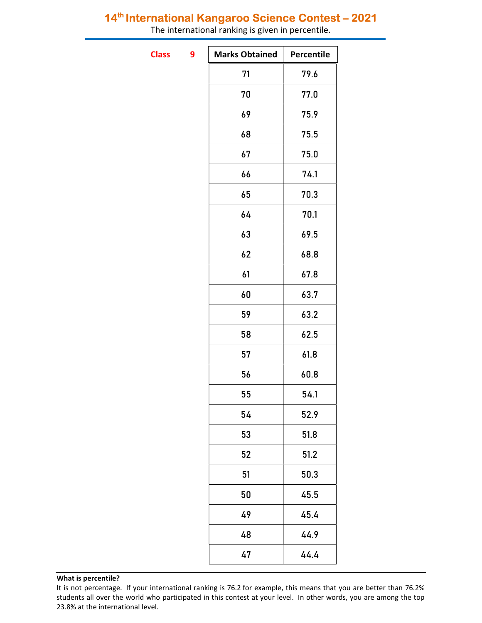## 14<sup>th</sup> International Kangaroo Science Contest - 2021

The international ranking is given in percentile.

**Class** 

| 9 | <b>Marks Obtained</b> | Percentile |
|---|-----------------------|------------|
|   | 71                    | 79.6       |
|   | 70                    | 77.0       |
|   | 69                    | 75.9       |
|   | 68                    | 75.5       |
|   | 67                    | 75.0       |
|   | 66                    | 74.1       |
|   | 65                    | 70.3       |
|   | 64                    | 70.1       |
|   | 63                    | 69.5       |
|   | 62                    | 68.8       |
|   | 61                    | 67.8       |
|   | 60                    | 63.7       |
|   | 59                    | 63.2       |
|   | 58                    | 62.5       |
|   | 57                    | 61.8       |
|   | 56                    | 60.8       |
|   | 55                    | 54.1       |
|   | 54                    | 52.9       |
|   | 53                    | 51.8       |
|   | 52                    | 51.2       |
|   | 51                    | 50.3       |
|   | 50                    | 45.5       |
|   | 49                    | 45.4       |
|   | 48                    | 44.9       |
|   | 47                    | 44.4       |

### What is percentile?

It is not percentage. If your international ranking is 76.2 for example, this means that you are better than 76.2% students all over the world who participated in this contest at your level. In other words, you are among the top 23.8% at the international level.